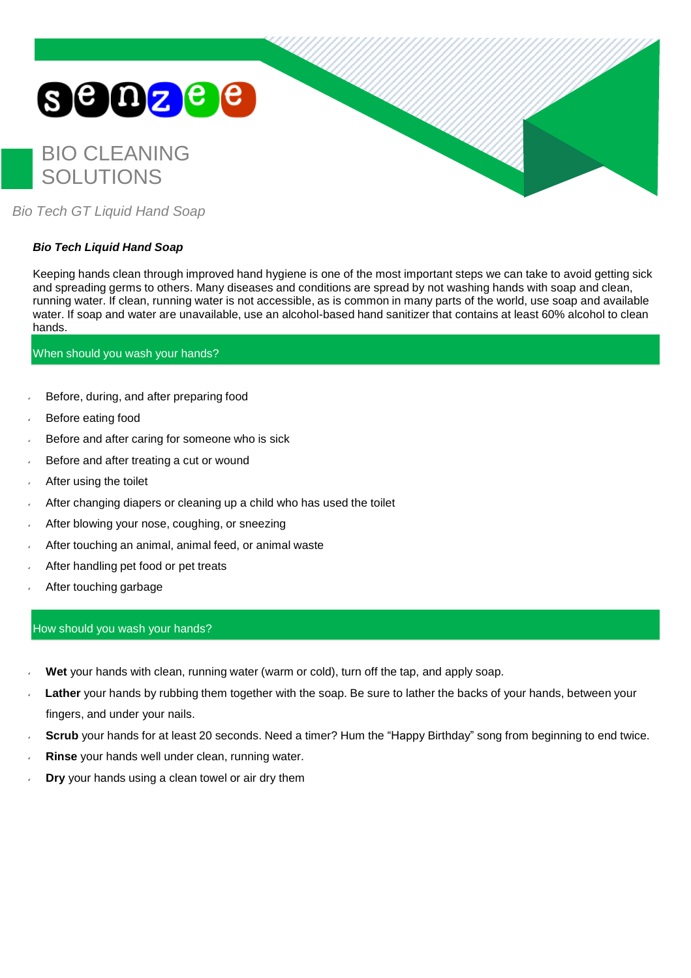

*Bio Tech GT Liquid Hand Soap*

## *Bio Tech Liquid Hand Soap*

Keeping hands clean through improved hand hygiene is one of the most important steps we can take to avoid getting sick and spreading germs to others. Many diseases and conditions are spread by not washing hands with soap and clean, running water. If clean, running water is not accessible, as is common in many parts of the world, use soap and available water. If soap and water are unavailable, use an alcohol-based hand sanitizer that contains at least 60% alcohol to clean hands.

When should you wash your hands?

- Before, during, and after preparing food
- Before eating food
- Before and after caring for someone who is sick
- Before and after treating a cut or wound
- After using the toilet
- After changing diapers or cleaning up a child who has used the toilet
- After blowing your nose, coughing, or sneezing
- After touching an animal, animal feed, or animal waste
- After handling pet food or pet treats
- After touching garbage

## How should you wash your hands?

- **Wet** your hands with clean, running water (warm or cold), turn off the tap, and apply soap.
- **Lather** your hands by rubbing them together with the soap. Be sure to lather the backs of your hands, between your fingers, and under your nails.
- **Scrub** your hands for at least 20 seconds. Need a timer? Hum the "Happy Birthday" song from beginning to end twice.
- **Rinse** your hands well under clean, running water.
- **Dry** your hands using a clean towel or air dry them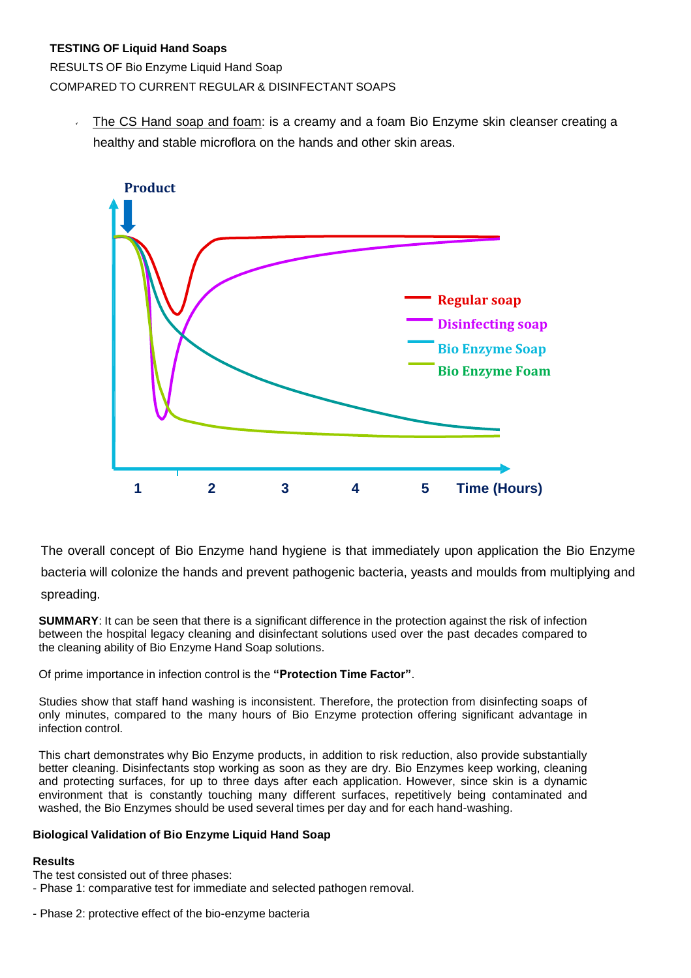# **TESTING OF Liquid Hand Soaps**

RESULTS OF Bio Enzyme Liquid Hand Soap COMPARED TO CURRENT REGULAR & DISINFECTANT SOAPS

The CS Hand soap and foam: is a creamy and a foam Bio Enzyme skin cleanser creating a  $\lambda$ healthy and stable microflora on the hands and other skin areas.



The overall concept of Bio Enzyme hand hygiene is that immediately upon application the Bio Enzyme bacteria will colonize the hands and prevent pathogenic bacteria, yeasts and moulds from multiplying and spreading.

**SUMMARY**: It can be seen that there is a significant difference in the protection against the risk of infection between the hospital legacy cleaning and disinfectant solutions used over the past decades compared to the cleaning ability of Bio Enzyme Hand Soap solutions.

Of prime importance in infection control is the **"Protection Time Factor"**.

Studies show that staff hand washing is inconsistent. Therefore, the protection from disinfecting soaps of only minutes, compared to the many hours of Bio Enzyme protection offering significant advantage in infection control.

This chart demonstrates why Bio Enzyme products, in addition to risk reduction, also provide substantially better cleaning. Disinfectants stop working as soon as they are dry. Bio Enzymes keep working, cleaning and protecting surfaces, for up to three days after each application. However, since skin is a dynamic environment that is constantly touching many different surfaces, repetitively being contaminated and washed, the Bio Enzymes should be used several times per day and for each hand-washing.

## **Biological Validation of Bio Enzyme Liquid Hand Soap**

## **Results**

- The test consisted out of three phases:
- Phase 1: comparative test for immediate and selected pathogen removal.
- Phase 2: protective effect of the bio-enzyme bacteria